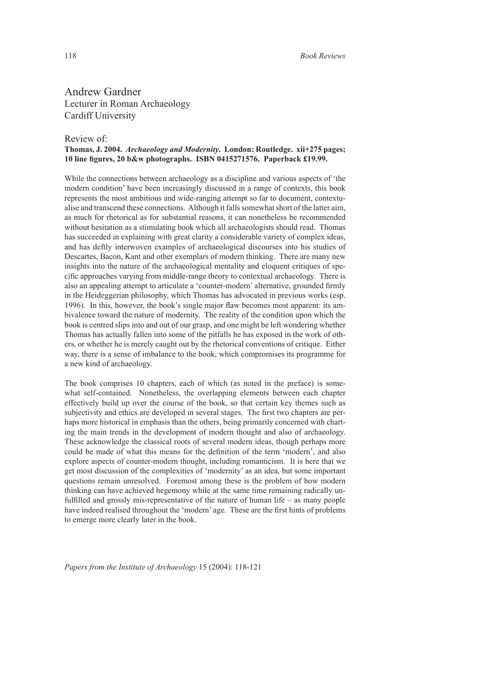Andrew Gardner Lecturer in Roman Archaeology Cardiff University

## Review of:

## **Thomas, J. 2004.** *Archaeology and Modernity***. London: Routledge. xii+275 pages; 10 line figures, 20 b&w photographs. ISBN 0415271576. Paperback £19.99.**

While the connections between archaeology as a discipline and various aspects of 'the modern condition' have been increasingly discussed in a range of contexts, this book represents the most ambitious and wide-ranging attempt so far to document, contextualise and transcend these connections. Although it falls somewhat short of the latter aim, as much for rhetorical as for substantial reasons, it can nonetheless be recommended without hesitation as a stimulating book which all archaeologists should read. Thomas has succeeded in explaining with great clarity a considerable variety of complex ideas, and has deftly interwoven examples of archaeological discourses into his studies of Descartes, Bacon, Kant and other exemplars of modern thinking. There are many new insights into the nature of the archaeological mentality and eloquent critiques of specific approaches varying from middle-range theory to contextual archaeology. There is also an appealing attempt to articulate a 'counter-modern' alternative, grounded firmly in the Heideggerian philosophy, which Thomas has advocated in previous works (esp. 1996). In this, however, the book's single major flaw becomes most apparent: its ambivalence toward the nature of modernity. The reality of the condition upon which the book is centred slips into and out of our grasp, and one might be left wondering whether Thomas has actually fallen into some of the pitfalls he has exposed in the work of others, or whether he is merely caught out by the rhetorical conventions of critique. Either way, there is a sense of imbalance to the book, which compromises its programme for a new kind of archaeology.

The book comprises 10 chapters, each of which (as noted in the preface) is somewhat self-contained. Nonetheless, the overlapping elements between each chapter effectively build up over the course of the book, so that certain key themes such as subjectivity and ethics are developed in several stages. The first two chapters are perhaps more historical in emphasis than the others, being primarily concerned with charting the main trends in the development of modern thought and also of archaeology. These acknowledge the classical roots of several modern ideas, though perhaps more could be made of what this means for the definition of the term 'modern', and also explore aspects of counter-modern thought, including romanticism. It is here that we get most discussion of the complexities of 'modernity' as an idea, but some important questions remain unresolved. Foremost among these is the problem of how modern thinking can have achieved hegemony while at the same time remaining radically unfulfilled and grossly mis-representative of the nature of human life – as many people have indeed realised throughout the 'modern' age. These are the first hints of problems to emerge more clearly later in the book.

*Papers from the Institute of Archaeology* 15 (2004): 118-121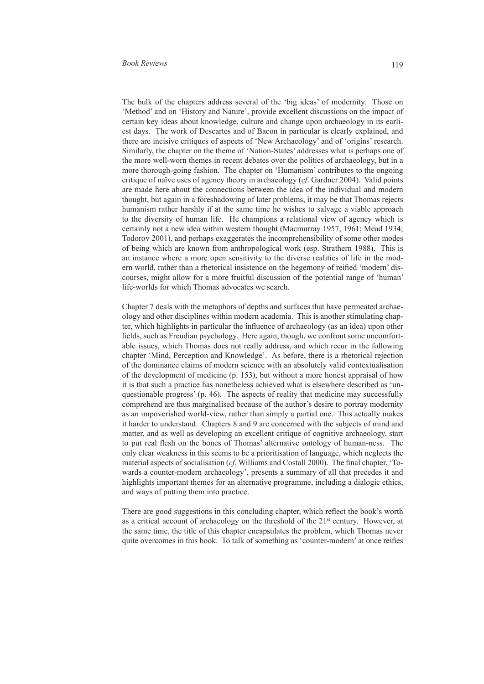The bulk of the chapters address several of the 'big ideas' of modernity. Those on 'Method' and on 'History and Nature', provide excellent discussions on the impact of certain key ideas about knowledge, culture and change upon archaeology in its earliest days. The work of Descartes and of Bacon in particular is clearly explained, and there are incisive critiques of aspects of 'New Archaeology' and of 'origins' research. Similarly, the chapter on the theme of 'Nation-States' addresses what is perhaps one of the more well-worn themes in recent debates over the politics of archaeology, but in a more thorough-going fashion. The chapter on 'Humanism' contributes to the ongoing critique of naïve uses of agency theory in archaeology (*cf*. Gardner 2004). Valid points are made here about the connections between the idea of the individual and modern thought, but again in a foreshadowing of later problems, it may be that Thomas rejects humanism rather harshly if at the same time he wishes to salvage a viable approach to the diversity of human life. He champions a relational view of agency which is certainly not a new idea within western thought (Macmurray 1957, 1961; Mead 1934; Todorov 2001), and perhaps exaggerates the incomprehensibility of some other modes of being which are known from anthropological work (esp. Strathern 1988). This is an instance where a more open sensitivity to the diverse realities of life in the modern world, rather than a rhetorical insistence on the hegemony of reified 'modern' discourses, might allow for a more fruitful discussion of the potential range of 'human' life-worlds for which Thomas advocates we search.

Chapter 7 deals with the metaphors of depths and surfaces that have permeated archaeology and other disciplines within modern academia. This is another stimulating chapter, which highlights in particular the influence of archaeology (as an idea) upon other fields, such as Freudian psychology. Here again, though, we confront some uncomfortable issues, which Thomas does not really address, and which recur in the following chapter 'Mind, Perception and Knowledge'. As before, there is a rhetorical rejection of the dominance claims of modern science with an absolutely valid contextualisation of the development of medicine (p. 153), but without a more honest appraisal of how it is that such a practice has nonetheless achieved what is elsewhere described as 'unquestionable progress' (p. 46). The aspects of reality that medicine may successfully comprehend are thus marginalised because of the author's desire to portray modernity as an impoverished world-view, rather than simply a partial one. This actually makes it harder to understand. Chapters 8 and 9 are concerned with the subjects of mind and matter, and as well as developing an excellent critique of cognitive archaeology, start to put real flesh on the bones of Thomas' alternative ontology of human-ness. The only clear weakness in this seems to be a prioritisation of language, which neglects the material aspects of socialisation (*cf*. Williams and Costall 2000). The final chapter, 'Towards a counter-modern archaeology', presents a summary of all that precedes it and highlights important themes for an alternative programme, including a dialogic ethics, and ways of putting them into practice.

There are good suggestions in this concluding chapter, which reflect the book's worth as a critical account of archaeology on the threshold of the 21<sup>st</sup> century. However, at the same time, the title of this chapter encapsulates the problem, which Thomas never quite overcomes in this book. To talk of something as 'counter-modern' at once reifies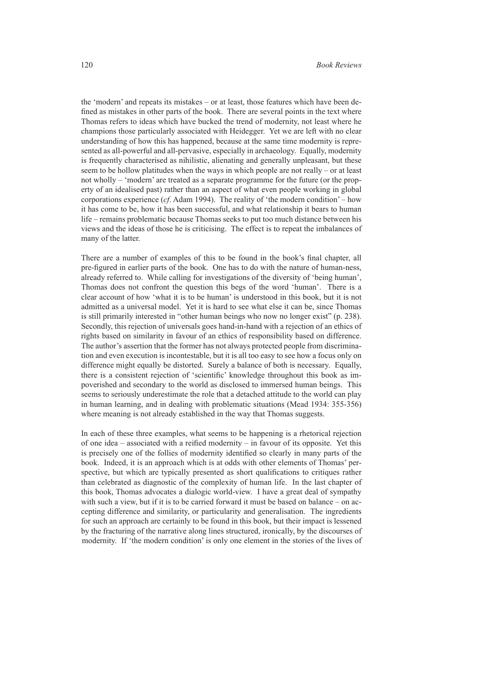the 'modern' and repeats its mistakes – or at least, those features which have been defined as mistakes in other parts of the book. There are several points in the text where Thomas refers to ideas which have bucked the trend of modernity, not least where he champions those particularly associated with Heidegger. Yet we are left with no clear understanding of how this has happened, because at the same time modernity is represented as all-powerful and all-pervasive, especially in archaeology. Equally, modernity is frequently characterised as nihilistic, alienating and generally unpleasant, but these seem to be hollow platitudes when the ways in which people are not really – or at least not wholly – 'modern' are treated as a separate programme for the future (or the property of an idealised past) rather than an aspect of what even people working in global corporations experience (*cf*. Adam 1994). The reality of 'the modern condition' – how it has come to be, how it has been successful, and what relationship it bears to human life – remains problematic because Thomas seeks to put too much distance between his views and the ideas of those he is criticising. The effect is to repeat the imbalances of many of the latter.

There are a number of examples of this to be found in the book's final chapter, all pre-figured in earlier parts of the book. One has to do with the nature of human-ness, already referred to. While calling for investigations of the diversity of 'being human', Thomas does not confront the question this begs of the word 'human'. There is a clear account of how 'what it is to be human' is understood in this book, but it is not admitted as a universal model. Yet it is hard to see what else it can be, since Thomas is still primarily interested in "other human beings who now no longer exist" (p. 238). Secondly, this rejection of universals goes hand-in-hand with a rejection of an ethics of rights based on similarity in favour of an ethics of responsibility based on difference. The author's assertion that the former has not always protected people from discrimination and even execution is incontestable, but it is all too easy to see how a focus only on difference might equally be distorted. Surely a balance of both is necessary. Equally, there is a consistent rejection of 'scientific' knowledge throughout this book as impoverished and secondary to the world as disclosed to immersed human beings. This seems to seriously underestimate the role that a detached attitude to the world can play in human learning, and in dealing with problematic situations (Mead 1934: 355-356) where meaning is not already established in the way that Thomas suggests.

In each of these three examples, what seems to be happening is a rhetorical rejection of one idea – associated with a reified modernity – in favour of its opposite. Yet this is precisely one of the follies of modernity identified so clearly in many parts of the book. Indeed, it is an approach which is at odds with other elements of Thomas' perspective, but which are typically presented as short qualifications to critiques rather than celebrated as diagnostic of the complexity of human life. In the last chapter of this book, Thomas advocates a dialogic world-view. I have a great deal of sympathy with such a view, but if it is to be carried forward it must be based on balance – on accepting difference and similarity, or particularity and generalisation. The ingredients for such an approach are certainly to be found in this book, but their impact is lessened by the fracturing of the narrative along lines structured, ironically, by the discourses of modernity. If 'the modern condition' is only one element in the stories of the lives of